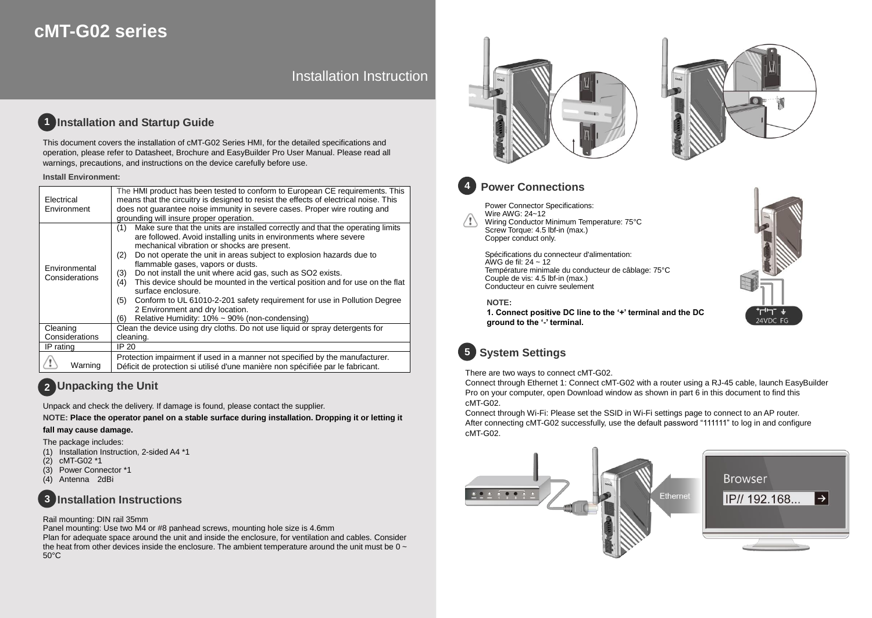# **cMT-G02 series**

# Installation Instruction

#### **Installation and Startup Guide 1**

This document covers the installation of cMT-G02 Series HMI, for the detailed specifications and operation, please refer to Datasheet, Brochure and EasyBuilder Pro User Manual. Please read all warnings, precautions, and instructions on the device carefully before use.

### **Install Environment:**

| Electrical<br>Environment       | The HMI product has been tested to conform to European CE requirements. This<br>means that the circuitry is designed to resist the effects of electrical noise. This<br>does not guarantee noise immunity in severe cases. Proper wire routing and<br>grounding will insure proper operation.                                                                                                                                                                                                                                                                                                                                                                                                    |
|---------------------------------|--------------------------------------------------------------------------------------------------------------------------------------------------------------------------------------------------------------------------------------------------------------------------------------------------------------------------------------------------------------------------------------------------------------------------------------------------------------------------------------------------------------------------------------------------------------------------------------------------------------------------------------------------------------------------------------------------|
| Environmental<br>Considerations | Make sure that the units are installed correctly and that the operating limits<br>(1)<br>are followed. Avoid installing units in environments where severe<br>mechanical vibration or shocks are present.<br>Do not operate the unit in areas subject to explosion hazards due to<br>(2)<br>flammable gases, vapors or dusts.<br>Do not install the unit where acid gas, such as SO2 exists.<br>(3)<br>This device should be mounted in the vertical position and for use on the flat<br>(4)<br>surface enclosure.<br>Conform to UL 61010-2-201 safety requirement for use in Pollution Degree<br>(5)<br>2 Environment and dry location.<br>Relative Humidity: 10% ~ 90% (non-condensing)<br>(6) |
| Cleaning                        | Clean the device using dry cloths. Do not use liquid or spray detergents for                                                                                                                                                                                                                                                                                                                                                                                                                                                                                                                                                                                                                     |
| Considerations                  | cleaning.                                                                                                                                                                                                                                                                                                                                                                                                                                                                                                                                                                                                                                                                                        |
| IP rating                       | IP 20                                                                                                                                                                                                                                                                                                                                                                                                                                                                                                                                                                                                                                                                                            |
| Warning                         | Protection impairment if used in a manner not specified by the manufacturer.<br>Déficit de protection si utilisé d'une manière non spécifiée par le fabricant.                                                                                                                                                                                                                                                                                                                                                                                                                                                                                                                                   |

# **Unpacking the Unit 2**

Unpack and check the delivery. If damage is found, please contact the supplier.

**NOTE: Place the operator panel on a stable surface during installation. Dropping it or letting it** 

### **fall may cause damage.**

The package includes:

- (1) Installation Instruction, 2-sided A4 \*1
- (2) cMT-G02 \*1
- (3) Power Connector \*1
- (4) Antenna 2dBi

#### **Installation Instructions 3**

### Rail mounting: DIN rail 35mm

Panel mounting: Use two M4 or #8 panhead screws, mounting hole size is 4.6mm Plan for adequate space around the unit and inside the enclosure, for ventilation and cables. Consider the heat from other devices inside the enclosure. The ambient temperature around the unit must be  $0 \sim$ 50°C







## **Power Connections**

Power Connector Specifications: Wire AWG: 24~12 Wiring Conductor Minimum Temperature: 75°C Screw Torque: 4.5 lbf-in (max.) Copper conduct only.

Spécifications du connecteur d'alimentation: AWG de fil:  $24 \sim 12$ Température minimale du conducteur de câblage: 75°C Couple de vis: 4.5 lbf-in (max.) Conducteur en cuivre seulement

### **NOTE:**

**1. Connect positive DC line to the '+' terminal and the DC ground to the '-' terminal.**



# **System Settings 5**

There are two ways to connect cMT-G02.

Connect through Ethernet 1: Connect cMT-G02 with a router using a RJ-45 cable, launch EasyBuilder Pro on your computer, open Download window as shown in part 6 in this document to find this cMT-G02.

Connect through Wi-Fi: Please set the SSID in Wi-Fi settings page to connect to an AP router. After connecting cMT-G02 successfully, use the default password "111111" to log in and configure cMT-G02.